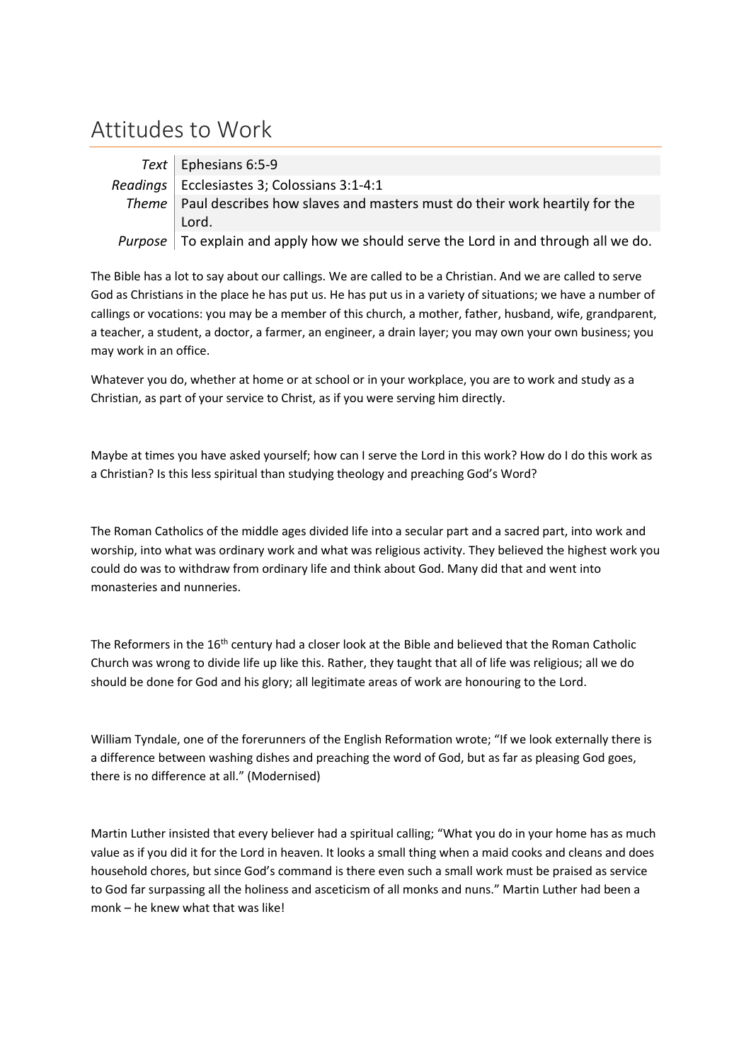## Attitudes to Work

| Text   Ephesians 6:5-9                                                                     |
|--------------------------------------------------------------------------------------------|
| Readings   Ecclesiastes 3; Colossians 3:1-4:1                                              |
| Theme   Paul describes how slaves and masters must do their work heartily for the          |
| Lord.                                                                                      |
| <i>Purpose</i> To explain and apply how we should serve the Lord in and through all we do. |

The Bible has a lot to say about our callings. We are called to be a Christian. And we are called to serve God as Christians in the place he has put us. He has put us in a variety of situations; we have a number of callings or vocations: you may be a member of this church, a mother, father, husband, wife, grandparent, a teacher, a student, a doctor, a farmer, an engineer, a drain layer; you may own your own business; you may work in an office.

Whatever you do, whether at home or at school or in your workplace, you are to work and study as a Christian, as part of your service to Christ, as if you were serving him directly.

Maybe at times you have asked yourself; how can I serve the Lord in this work? How do I do this work as a Christian? Is this less spiritual than studying theology and preaching God's Word?

The Roman Catholics of the middle ages divided life into a secular part and a sacred part, into work and worship, into what was ordinary work and what was religious activity. They believed the highest work you could do was to withdraw from ordinary life and think about God. Many did that and went into monasteries and nunneries.

The Reformers in the 16<sup>th</sup> century had a closer look at the Bible and believed that the Roman Catholic Church was wrong to divide life up like this. Rather, they taught that all of life was religious; all we do should be done for God and his glory; all legitimate areas of work are honouring to the Lord.

William Tyndale, one of the forerunners of the English Reformation wrote; "If we look externally there is a difference between washing dishes and preaching the word of God, but as far as pleasing God goes, there is no difference at all." (Modernised)

Martin Luther insisted that every believer had a spiritual calling; "What you do in your home has as much value as if you did it for the Lord in heaven. It looks a small thing when a maid cooks and cleans and does household chores, but since God's command is there even such a small work must be praised as service to God far surpassing all the holiness and asceticism of all monks and nuns." Martin Luther had been a monk – he knew what that was like!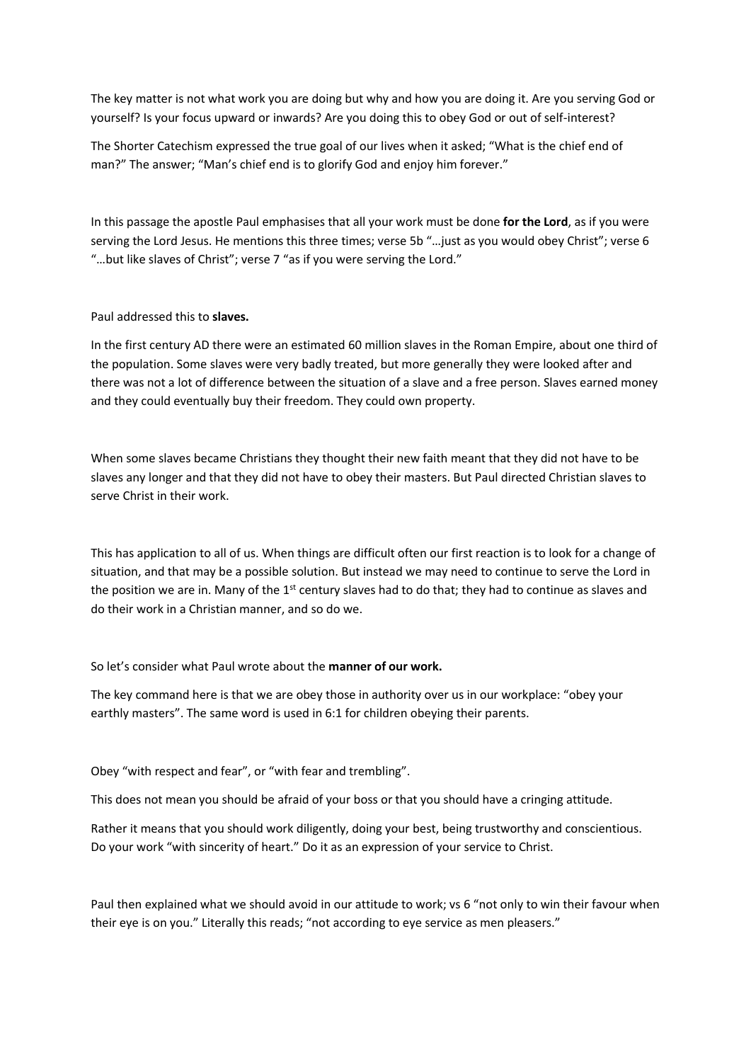The key matter is not what work you are doing but why and how you are doing it. Are you serving God or yourself? Is your focus upward or inwards? Are you doing this to obey God or out of self-interest?

The Shorter Catechism expressed the true goal of our lives when it asked; "What is the chief end of man?" The answer; "Man's chief end is to glorify God and enjoy him forever."

In this passage the apostle Paul emphasises that all your work must be done **for the Lord**, as if you were serving the Lord Jesus. He mentions this three times; verse 5b "…just as you would obey Christ"; verse 6 "…but like slaves of Christ"; verse 7 "as if you were serving the Lord."

Paul addressed this to **slaves.**

In the first century AD there were an estimated 60 million slaves in the Roman Empire, about one third of the population. Some slaves were very badly treated, but more generally they were looked after and there was not a lot of difference between the situation of a slave and a free person. Slaves earned money and they could eventually buy their freedom. They could own property.

When some slaves became Christians they thought their new faith meant that they did not have to be slaves any longer and that they did not have to obey their masters. But Paul directed Christian slaves to serve Christ in their work.

This has application to all of us. When things are difficult often our first reaction is to look for a change of situation, and that may be a possible solution. But instead we may need to continue to serve the Lord in the position we are in. Many of the  $1<sup>st</sup>$  century slaves had to do that; they had to continue as slaves and do their work in a Christian manner, and so do we.

So let's consider what Paul wrote about the **manner of our work.**

The key command here is that we are obey those in authority over us in our workplace: "obey your earthly masters". The same word is used in 6:1 for children obeying their parents.

Obey "with respect and fear", or "with fear and trembling".

This does not mean you should be afraid of your boss or that you should have a cringing attitude.

Rather it means that you should work diligently, doing your best, being trustworthy and conscientious. Do your work "with sincerity of heart." Do it as an expression of your service to Christ.

Paul then explained what we should avoid in our attitude to work; vs 6 "not only to win their favour when their eye is on you." Literally this reads; "not according to eye service as men pleasers."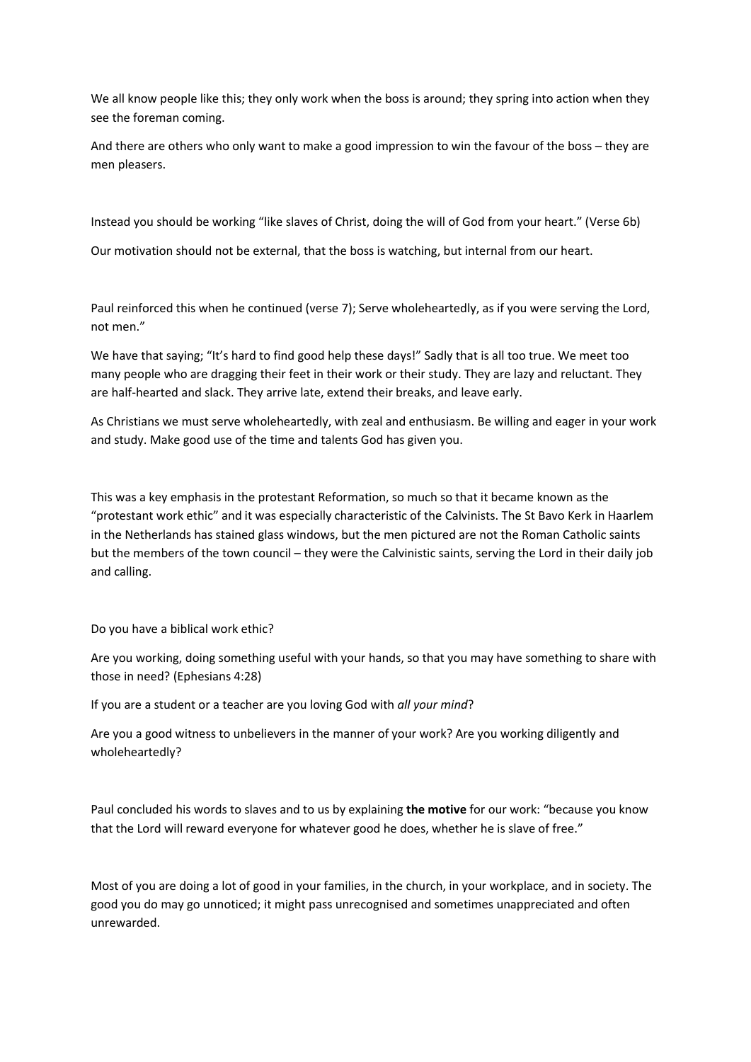We all know people like this; they only work when the boss is around; they spring into action when they see the foreman coming.

And there are others who only want to make a good impression to win the favour of the boss – they are men pleasers.

Instead you should be working "like slaves of Christ, doing the will of God from your heart." (Verse 6b)

Our motivation should not be external, that the boss is watching, but internal from our heart.

Paul reinforced this when he continued (verse 7); Serve wholeheartedly, as if you were serving the Lord, not men."

We have that saying; "It's hard to find good help these days!" Sadly that is all too true. We meet too many people who are dragging their feet in their work or their study. They are lazy and reluctant. They are half-hearted and slack. They arrive late, extend their breaks, and leave early.

As Christians we must serve wholeheartedly, with zeal and enthusiasm. Be willing and eager in your work and study. Make good use of the time and talents God has given you.

This was a key emphasis in the protestant Reformation, so much so that it became known as the "protestant work ethic" and it was especially characteristic of the Calvinists. The St Bavo Kerk in Haarlem in the Netherlands has stained glass windows, but the men pictured are not the Roman Catholic saints but the members of the town council – they were the Calvinistic saints, serving the Lord in their daily job and calling.

Do you have a biblical work ethic?

Are you working, doing something useful with your hands, so that you may have something to share with those in need? (Ephesians 4:28)

If you are a student or a teacher are you loving God with *all your mind*?

Are you a good witness to unbelievers in the manner of your work? Are you working diligently and wholeheartedly?

Paul concluded his words to slaves and to us by explaining **the motive** for our work: "because you know that the Lord will reward everyone for whatever good he does, whether he is slave of free."

Most of you are doing a lot of good in your families, in the church, in your workplace, and in society. The good you do may go unnoticed; it might pass unrecognised and sometimes unappreciated and often unrewarded.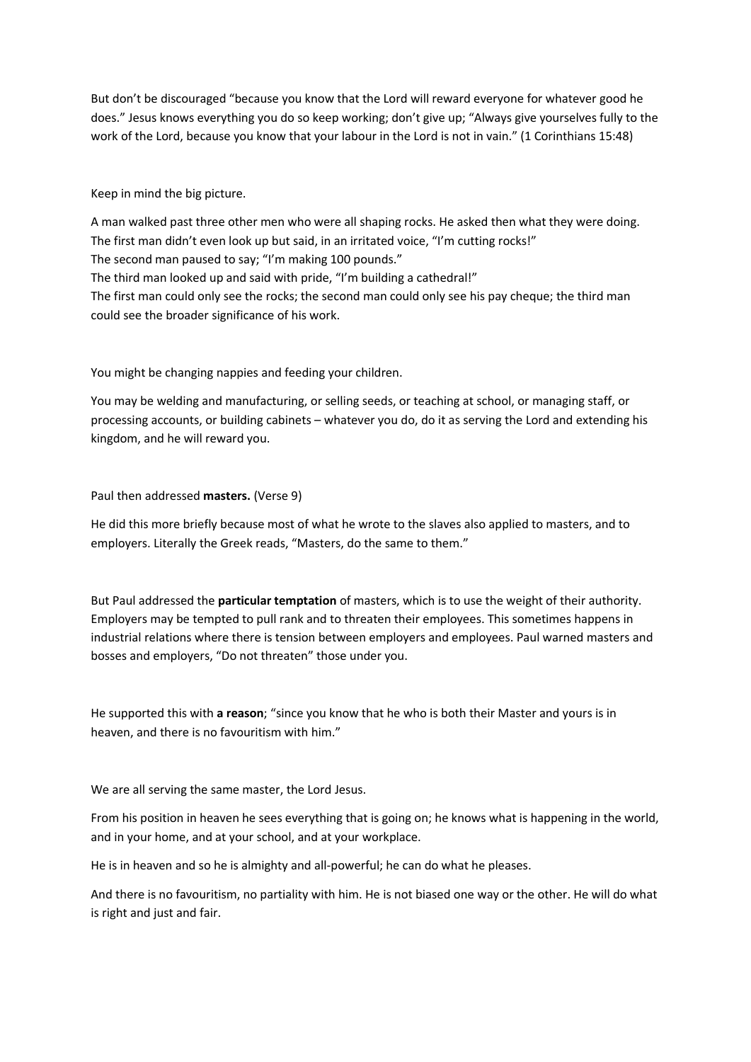But don't be discouraged "because you know that the Lord will reward everyone for whatever good he does." Jesus knows everything you do so keep working; don't give up; "Always give yourselves fully to the work of the Lord, because you know that your labour in the Lord is not in vain." (1 Corinthians 15:48)

Keep in mind the big picture.

A man walked past three other men who were all shaping rocks. He asked then what they were doing. The first man didn't even look up but said, in an irritated voice, "I'm cutting rocks!" The second man paused to say; "I'm making 100 pounds." The third man looked up and said with pride, "I'm building a cathedral!" The first man could only see the rocks; the second man could only see his pay cheque; the third man could see the broader significance of his work.

You might be changing nappies and feeding your children.

You may be welding and manufacturing, or selling seeds, or teaching at school, or managing staff, or processing accounts, or building cabinets – whatever you do, do it as serving the Lord and extending his kingdom, and he will reward you.

Paul then addressed **masters.** (Verse 9)

He did this more briefly because most of what he wrote to the slaves also applied to masters, and to employers. Literally the Greek reads, "Masters, do the same to them."

But Paul addressed the **particular temptation** of masters, which is to use the weight of their authority. Employers may be tempted to pull rank and to threaten their employees. This sometimes happens in industrial relations where there is tension between employers and employees. Paul warned masters and bosses and employers, "Do not threaten" those under you.

He supported this with **a reason**; "since you know that he who is both their Master and yours is in heaven, and there is no favouritism with him."

We are all serving the same master, the Lord Jesus.

From his position in heaven he sees everything that is going on; he knows what is happening in the world, and in your home, and at your school, and at your workplace.

He is in heaven and so he is almighty and all-powerful; he can do what he pleases.

And there is no favouritism, no partiality with him. He is not biased one way or the other. He will do what is right and just and fair.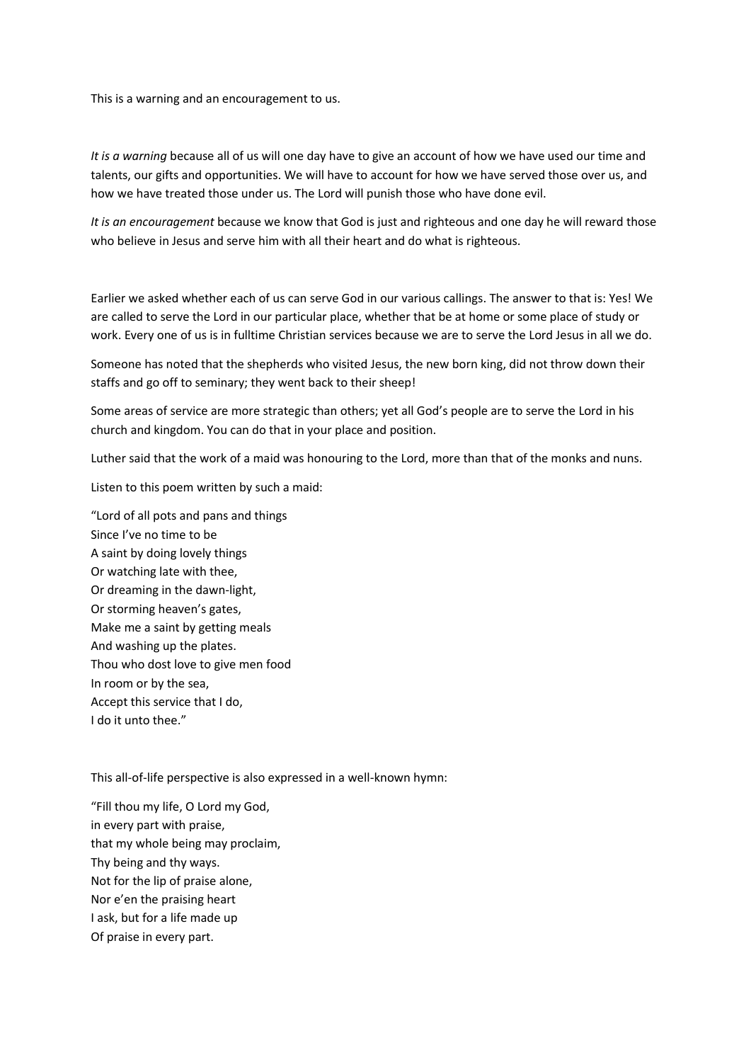This is a warning and an encouragement to us.

*It is a warning* because all of us will one day have to give an account of how we have used our time and talents, our gifts and opportunities. We will have to account for how we have served those over us, and how we have treated those under us. The Lord will punish those who have done evil.

*It is an encouragement* because we know that God is just and righteous and one day he will reward those who believe in Jesus and serve him with all their heart and do what is righteous.

Earlier we asked whether each of us can serve God in our various callings. The answer to that is: Yes! We are called to serve the Lord in our particular place, whether that be at home or some place of study or work. Every one of us is in fulltime Christian services because we are to serve the Lord Jesus in all we do.

Someone has noted that the shepherds who visited Jesus, the new born king, did not throw down their staffs and go off to seminary; they went back to their sheep!

Some areas of service are more strategic than others; yet all God's people are to serve the Lord in his church and kingdom. You can do that in your place and position.

Luther said that the work of a maid was honouring to the Lord, more than that of the monks and nuns.

Listen to this poem written by such a maid:

"Lord of all pots and pans and things Since I've no time to be A saint by doing lovely things Or watching late with thee, Or dreaming in the dawn-light, Or storming heaven's gates, Make me a saint by getting meals And washing up the plates. Thou who dost love to give men food In room or by the sea, Accept this service that I do, I do it unto thee."

This all-of-life perspective is also expressed in a well-known hymn:

"Fill thou my life, O Lord my God, in every part with praise, that my whole being may proclaim, Thy being and thy ways. Not for the lip of praise alone, Nor e'en the praising heart I ask, but for a life made up Of praise in every part.